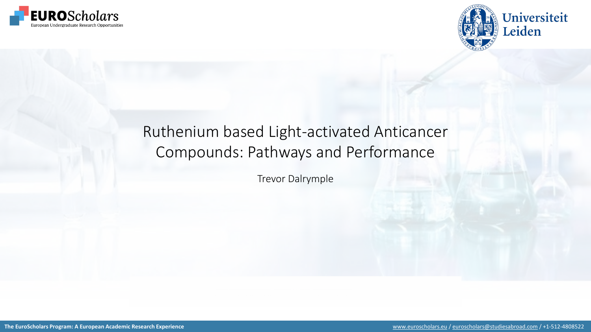



# Ruthenium based Light-activated Anticancer Compounds: Pathways and Performance

Trevor Dalrymple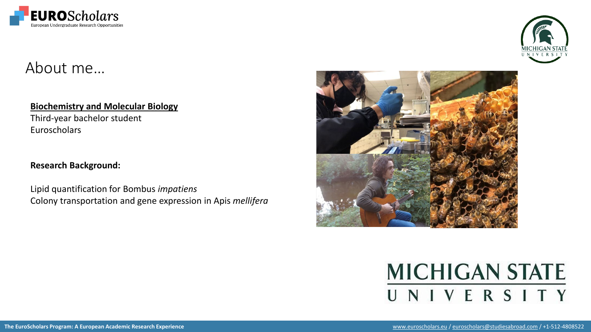

# About me…

### **Biochemistry and Molecular Biology**

Third-year bachelor student Euroscholars

### **Research Background:**

Lipid quantification for Bombus *impatiens* Colony transportation and gene expression in Apis *mellifera*





# **MICHIGAN STATE** UNIVERSITY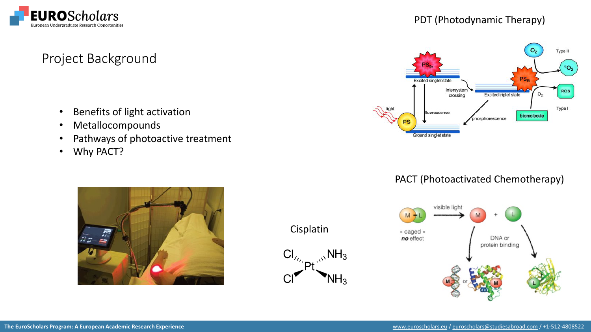

### PDT (Photodynamic Therapy)

#### $O<sub>2</sub>$ Type II P<sub>S<sub>E</sub></sub> **Excited singlet state** Intersysten **ROS**  $O<sub>2</sub>$ **Excited triplet state** crossing Type I fluorescence biomolecule phosphorescence PS Ground singlet state

### PACT (Photoactivated Chemotherapy)



## Project Background

- Benefits of light activation
- Metallocompounds
- Pathways of photoactive treatment
- Why PACT?



Cisplatin

 $Cl_{\prime\prime}$ <sub>N</sub>NH<sub>3</sub>

 $C<sub>l</sub>$ 

 $NH<sub>3</sub>$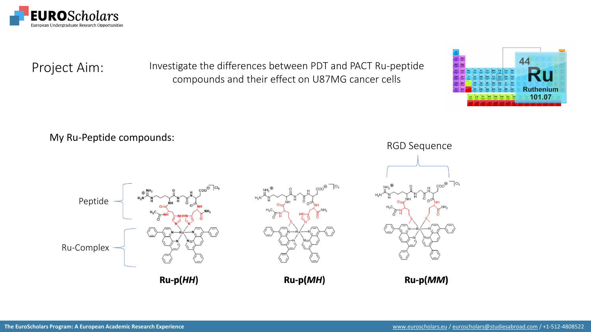

Project Aim: Investigate the differences between PDT and PACT Ru-peptide compounds and their effect on U87MG cancer cells



My Ru-Peptide compounds:

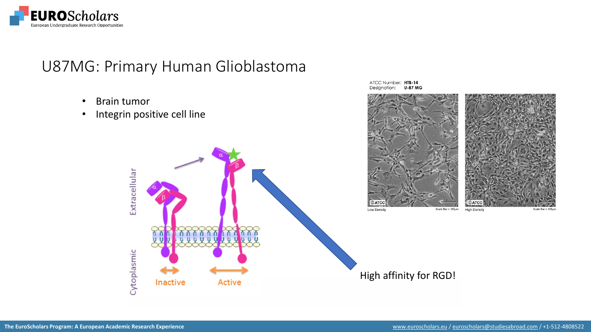

## U87MG: Primary Human Glioblastoma

ሽሽሽሽ

101

**Active** 

- Brain tumor
- Integrin positive cell line

Extracellular

Cytoplasmic

Inactive

ATCC Number: HTB-14 Designation: **U-87 MG** 



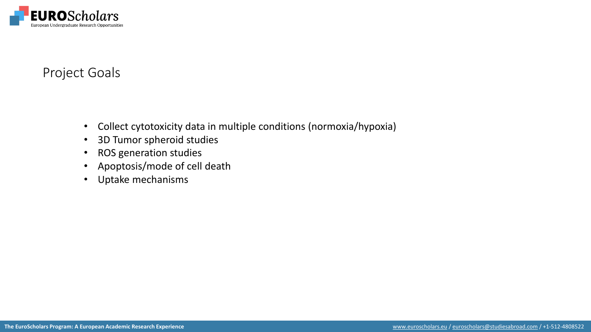

### Project Goals

- Collect cytotoxicity data in multiple conditions (normoxia/hypoxia)
- 3D Tumor spheroid studies
- ROS generation studies
- Apoptosis/mode of cell death
- Uptake mechanisms